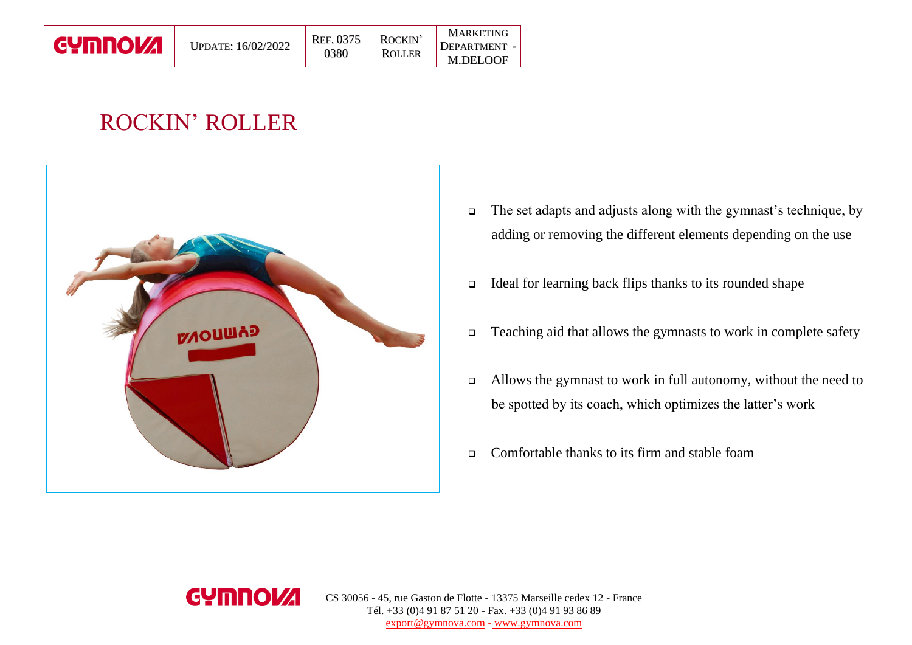| <b>GYMNOVA</b> | <b>UPDATE: 16/02/2022</b> | REF. 0375<br>0380 | ROCKIN'<br><b>ROLLER</b> | <b>MARKETING</b><br><b>DEPARTMENT -</b><br><b>M.DELOOF</b> |
|----------------|---------------------------|-------------------|--------------------------|------------------------------------------------------------|
|----------------|---------------------------|-------------------|--------------------------|------------------------------------------------------------|

## ROCKIN' ROLLER



- ❑ The set adapts and adjusts along with the gymnast's technique, by adding or removing the different elements depending on the use
- ❑ Ideal for learning back flips thanks to its rounded shape
- ❑ Teaching aid that allows the gymnasts to work in complete safety
- ❑ Allows the gymnast to work in full autonomy, without the need to be spotted by its coach, which optimizes the latter's work
- ❑ Comfortable thanks to its firm and stable foam